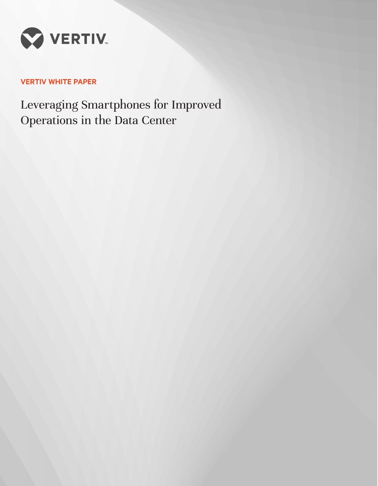

# **VERTIV WHITE PAPER**

Leveraging Smartphones for Improved Operations in the Data Center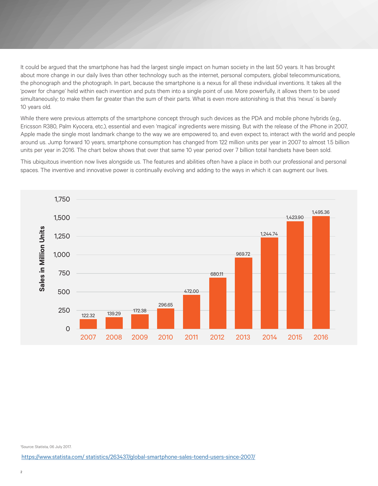It could be argued that the smartphone has had the largest single impact on human society in the last 50 years. It has brought about more change in our daily lives than other technology such as the internet, personal computers, global telecommunications, the phonograph and the photograph. In part, because the smartphone is a nexus for all these individual inventions. It takes all the 'power for change' held within each invention and puts them into a single point of use. More powerfully, it allows them to be used simultaneously; to make them far greater than the sum of their parts. What is even more astonishing is that this 'nexus' is barely 10 years old.

While there were previous attempts of the smartphone concept through such devices as the PDA and mobile phone hybrids (e.g., Ericsson R380, Palm Kyocera, etc.), essential and even 'magical' ingredients were missing. But with the release of the iPhone in 2007, Apple made the single most landmark change to the way we are empowered to, and even expect to, interact with the world and people around us. Jump forward 10 years, smartphone consumption has changed from 122 million units per year in 2007 to almost 1.5 billion units per year in 2016. The chart below shows that over that same 10 year period over 7 billion total handsets have been sold.

This ubiquitous invention now lives alongside us. The features and abilities often have a place in both our professional and personal spaces. The inventive and innovative power is continually evolving and adding to the ways in which it can augment our lives.



1 Source: Statista, 06 July 2017.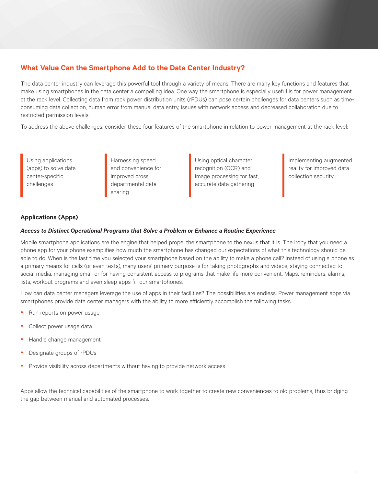## **What Value Can the Smartphone Add to the Data Center Industry?**

The data center industry can leverage this powerful tool through a variety of means. There are many key functions and features that make using smartphones in the data center a compelling idea. One way the smartphone is especially useful is for power management at the rack level. Collecting data from rack power distribution units (rPDUs) can pose certain challenges for data centers such as timeconsuming data collection, human error from manual data entry, issues with network access and decreased collaboration due to restricted permission levels.

To address the above challenges, consider these four features of the smartphone in relation to power management at the rack level:

Using applications (apps) to solve data center-specific challenges

Harnessing speed and convenience for improved cross departmental data sharing

Using optical character recognition (OCR) and image processing for fast, accurate data gathering

Implementing augmented reality for improved data collection security

### **Applications (Apps)**

### *Access to Distinct Operational Programs that Solve a Problem or Enhance a Routine Experience*

Mobile smartphone applications are the engine that helped propel the smartphone to the nexus that it is. The irony that you need a phone app for your phone exemplifies how much the smartphone has changed our expectations of what this technology should be able to do. When is the last time you selected your smartphone based on the ability to make a phone call? Instead of using a phone as a primary means for calls (or even texts), many users' primary purpose is for taking photographs and videos, staying connected to social media, managing email or for having consistent access to programs that make life more convenient. Maps, reminders, alarms, lists, workout programs and even sleep apps fill our smartphones.

How can data center managers leverage the use of apps in their facilities? The possibilities are endless. Power management apps via smartphones provide data center managers with the ability to more efficiently accomplish the following tasks:

- Run reports on power usage
- Collect power usage data
- Handle change management
- Designate groups of rPDUs
- Provide visibility across departments without having to provide network access

Apps allow the technical capabilities of the smartphone to work together to create new conveniences to old problems, thus bridging the gap between manual and automated processes.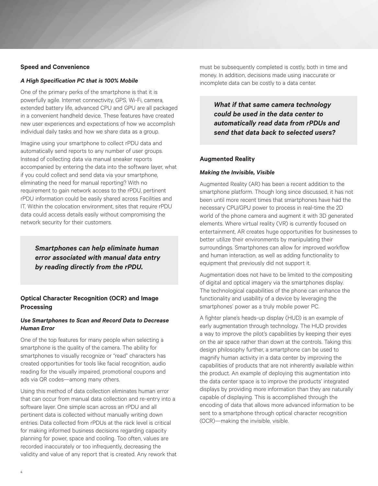### **Speed and Convenience**

#### *A High Specification PC that is 100% Mobile*

One of the primary perks of the smartphone is that it is powerfully agile. Internet connectivity, GPS, Wi-Fi, camera, extended battery life, advanced CPU and GPU are all packaged in a convenient handheld device. These features have created new user experiences and expectations of how we accomplish individual daily tasks and how we share data as a group.

Imagine using your smartphone to collect rPDU data and automatically send reports to any number of user groups. Instead of collecting data via manual sneaker reports accompanied by entering the data into the software layer, what if you could collect and send data via your smartphone, eliminating the need for manual reporting? With no requirement to gain network access to the rPDU, pertinent rPDU information could be easily shared across Facilities and IT. Within the colocation environment, sites that require rPDU data could access details easily without compromising the network security for their customers.

*Smartphones can help eliminate human error associated with manual data entry by reading directly from the rPDU.*

### **Optical Character Recognition (OCR) and Image Processing**

### *Use Smartphones to Scan and Record Data to Decrease Human Error*

One of the top features for many people when selecting a smartphone is the quality of the camera. The ability for smartphones to visually recognize or "read" characters has created opportunities for tools like facial recognition, audio reading for the visually impaired, promotional coupons and ads via QR codes—among many others.

Using this method of data collection eliminates human error that can occur from manual data collection and re-entry into a software layer. One simple scan across an rPDU and all pertinent data is collected without manually writing down entries. Data collected from rPDUs at the rack level is critical for making informed business decisions regarding capacity planning for power, space and cooling. Too often, values are recorded inaccurately or too infrequently, decreasing the validity and value of any report that is created. Any rework that

must be subsequently completed is costly, both in time and money. In addition, decisions made using inaccurate or incomplete data can be costly to a data center.

*What if that same camera technology could be used in the data center to automatically read data from rPDUs and send that data back to selected users?*

### **Augmented Reality**

#### *Making the Invisible, Visible*

Augmented Reality (AR) has been a recent addition to the smartphone platform. Though long since discussed, it has not been until more recent times that smartphones have had the necessary CPU/GPU power to process in real-time the 2D world of the phone camera and augment it with 3D generated elements. Where virtual reality (VR) is currently focused on entertainment, AR creates huge opportunities for businesses to better utilize their environments by manipulating their surroundings. Smartphones can allow for improved workflow and human interaction, as well as adding functionality to equipment that previously did not support it.

Augmentation does not have to be limited to the compositing of digital and optical imagery via the smartphones display. The technological capabilities of the phone can enhance the functionality and usability of a device by leveraging the smartphones' power as a truly mobile power PC.

A fighter plane's heads-up display (HUD) is an example of early augmentation through technology. The HUD provides a way to improve the pilot's capabilities by keeping their eyes on the air space rather than down at the controls. Taking this design philosophy further, a smartphone can be used to magnify human activity in a data center by improving the capabilities of products that are not inherently available within the product. An example of deploying this augmentation into the data center space is to improve the products' integrated displays by providing more information than they are naturally capable of displaying. This is accomplished through the encoding of data that allows more advanced information to be sent to a smartphone through optical character recognition (OCR)—making the invisible, visible.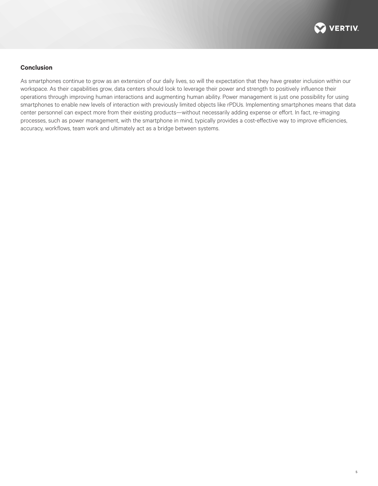

5

### **Conclusion**

As smartphones continue to grow as an extension of our daily lives, so will the expectation that they have greater inclusion within our workspace. As their capabilities grow, data centers should look to leverage their power and strength to positively influence their operations through improving human interactions and augmenting human ability. Power management is just one possibility for using smartphones to enable new levels of interaction with previously limited objects like rPDUs. Implementing smartphones means that data center personnel can expect more from their existing products—without necessarily adding expense or effort. In fact, re-imaging processes, such as power management, with the smartphone in mind, typically provides a cost-effective way to improve efficiencies, accuracy, workflows, team work and ultimately act as a bridge between systems.